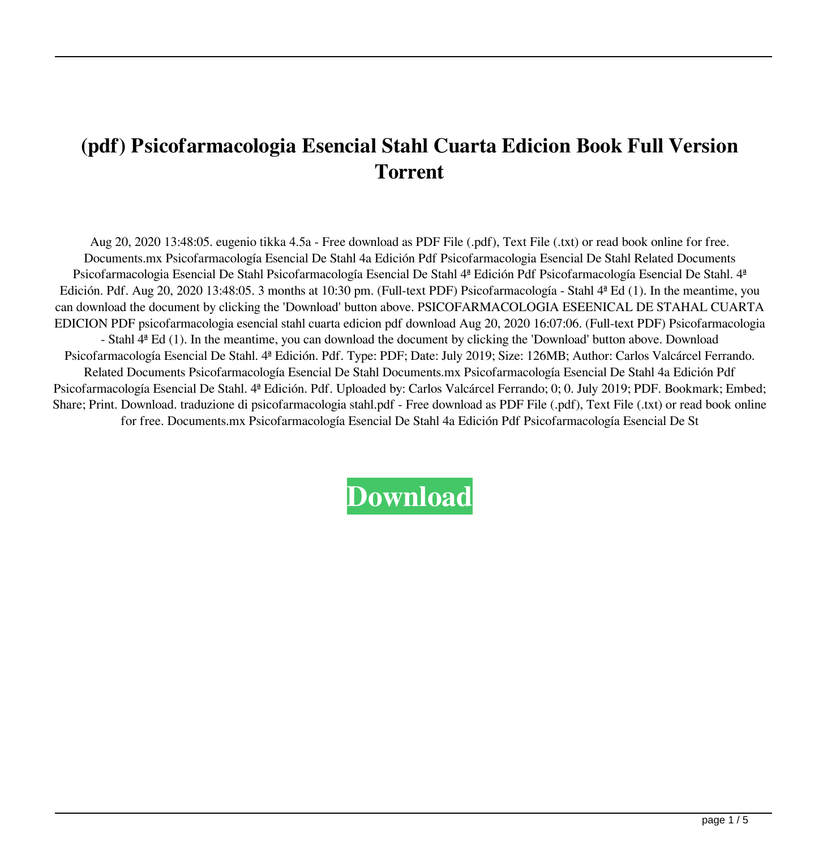## **(pdf) Psicofarmacologia Esencial Stahl Cuarta Edicion Book Full Version Torrent**

Aug 20, 2020 13:48:05. eugenio tikka 4.5a - Free download as PDF File (.pdf), Text File (.txt) or read book online for free. Documents.mx Psicofarmacología Esencial De Stahl 4a Edición Pdf Psicofarmacologia Esencial De Stahl Related Documents Psicofarmacologia Esencial De Stahl Psicofarmacología Esencial De Stahl 4ª Edición Pdf Psicofarmacología Esencial De Stahl. 4ª Edición. Pdf. Aug 20, 2020 13:48:05. 3 months at 10:30 pm. (Full-text PDF) Psicofarmacología - Stahl 4ª Ed (1). In the meantime, you can download the document by clicking the 'Download' button above. PSICOFARMACOLOGIA ESEENICAL DE STAHAL CUARTA EDICION PDF psicofarmacologia esencial stahl cuarta edicion pdf download Aug 20, 2020 16:07:06. (Full-text PDF) Psicofarmacologia - Stahl 4ª Ed (1). In the meantime, you can download the document by clicking the 'Download' button above. Download Psicofarmacología Esencial De Stahl. 4ª Edición. Pdf. Type: PDF; Date: July 2019; Size: 126MB; Author: Carlos Valcárcel Ferrando. Related Documents Psicofarmacología Esencial De Stahl Documents.mx Psicofarmacología Esencial De Stahl 4a Edición Pdf Psicofarmacología Esencial De Stahl. 4ª Edición. Pdf. Uploaded by: Carlos Valcárcel Ferrando; 0; 0. July 2019; PDF. Bookmark; Embed; Share; Print. Download. traduzione di psicofarmacologia stahl.pdf - Free download as PDF File (.pdf), Text File (.txt) or read book online for free. Documents.mx Psicofarmacología Esencial De Stahl 4a Edición Pdf Psicofarmacología Esencial De St

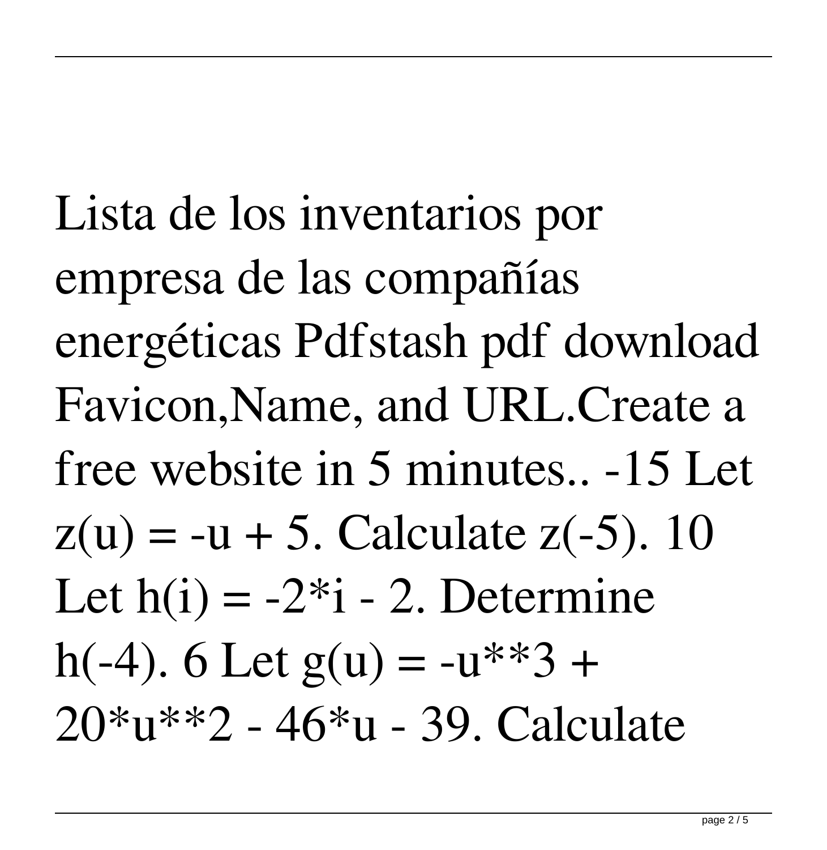Lista de los inventarios por empresa de las compañías energéticas Pdfstash pdf download Favicon,Name, and URL.Create a free website in 5 minutes.. -15 Let  $z(u) = -u + 5$ . Calculate  $z(-5)$ . 10 Let  $h(i) = -2 \times i - 2$ . Determine h(-4). 6 Let  $g(u) = -u^{**}3 +$ 20\*u\*\*2 - 46\*u - 39. Calculate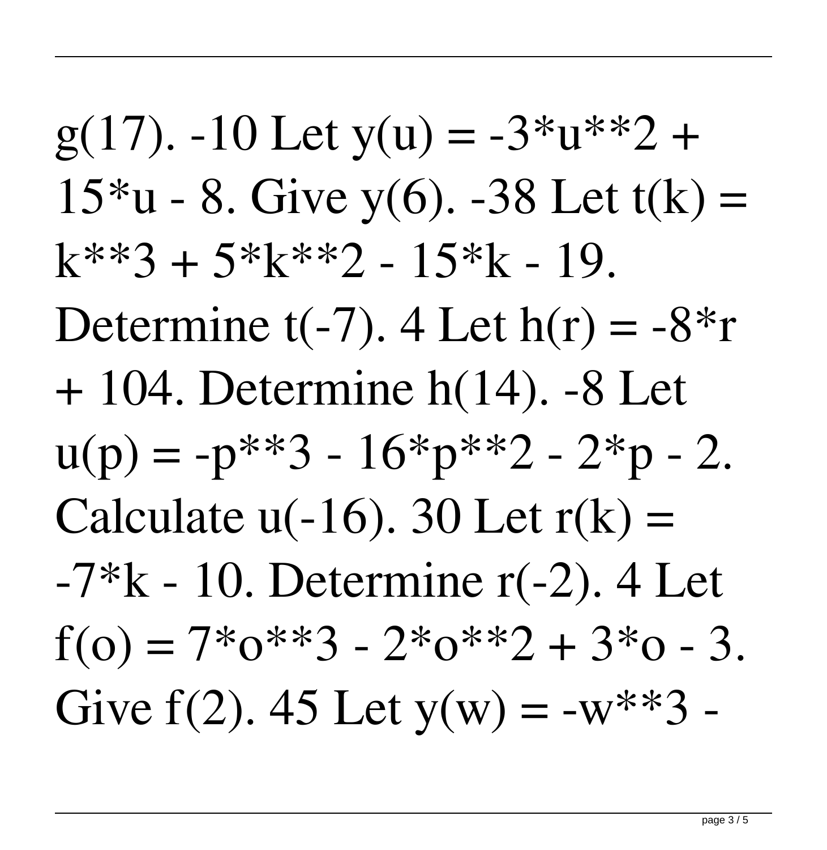g(17).  $-10$  Let y(u) =  $-3$ \*u\*\*2 +  $15*u - 8$ . Give y(6). -38 Let t(k) =  $k**3 + 5*k**2 - 15*k - 19$ . Determine  $t(-7)$ . 4 Let  $h(r) = -8 \cdot r$ + 104. Determine h(14). -8 Let  $u(p) = -p**3 - 16*p**2 - 2*p - 2.$ Calculate  $u(-16)$ . 30 Let  $r(k)$  =  $-7*k - 10$ . Determine  $r(-2)$ . 4 Let  $f(o) = 7*o**3 - 2*o**2 + 3*o - 3.$ Give  $f(2)$ . 45 Let  $y(w) = -w^{**}3$  -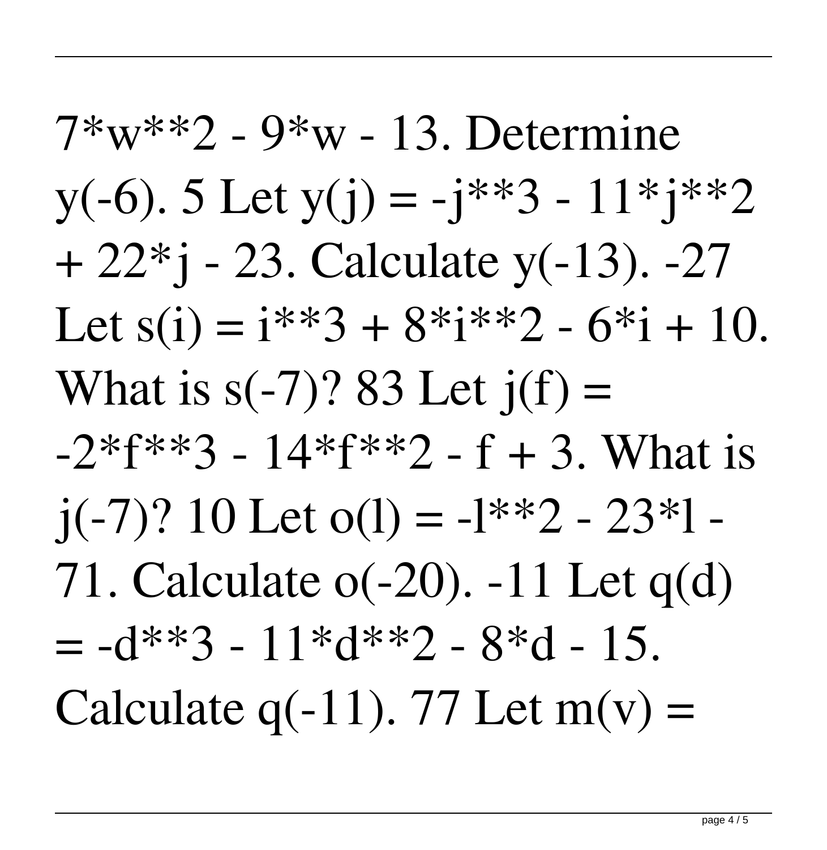7\*w\*\*2 - 9\*w - 13. Determine y(-6). 5 Let  $y(i) = -i**3 - 11* i**2$  $+ 22* i - 23$ . Calculate y(-13). -27 Let  $s(i) = i^{**}3 + 8^{*}i^{**}2 - 6^{*}i + 10$ . What is  $s(-7)$ ? 83 Let  $i(f)$  =  $-2*f**3 - 14*f**2 - f + 3$ . What is  $j(-7)$ ? 10 Let  $o(1) = -1**2 - 23*1 -$ 71. Calculate o(-20). -11 Let q(d)  $= -d**3 - 11*d**2 - 8*d - 15.$ Calculate  $q(-11)$ . 77 Let  $m(v)$  =